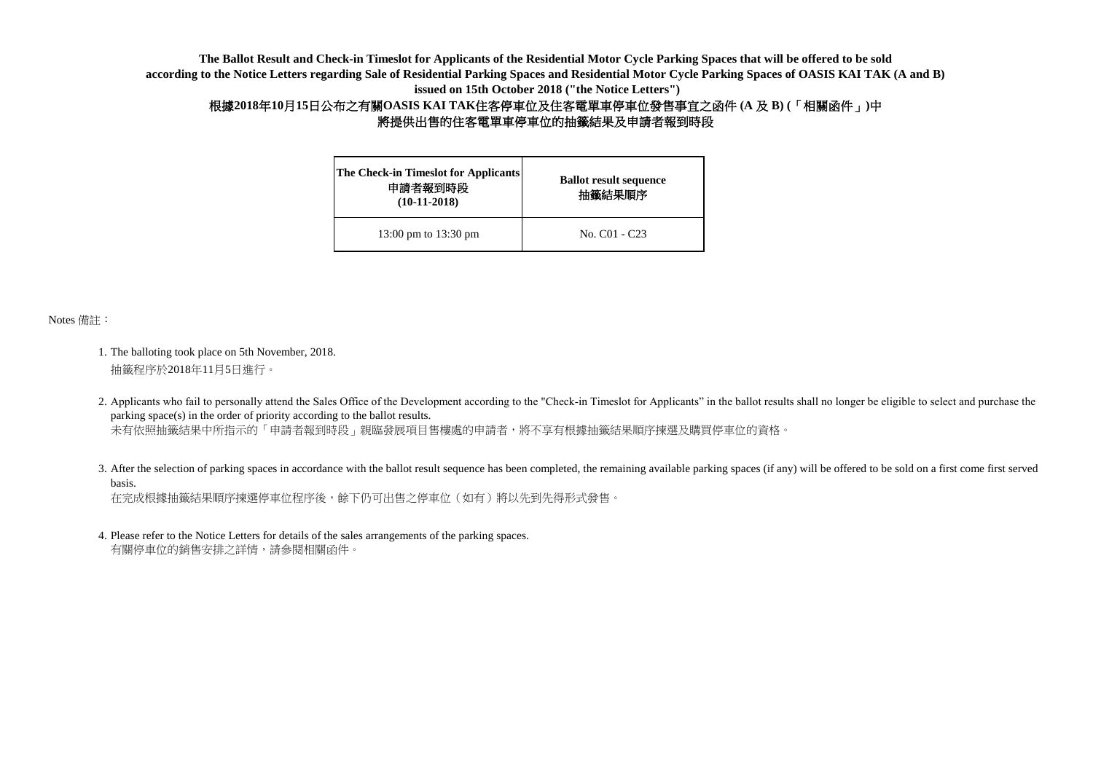| <b>The Check-in Timeslot for Applicants</b><br>申請者報到時段<br>$(10-11-2018)$ | <b>Ballot result sequence</b><br>抽籤結果順序 |
|--------------------------------------------------------------------------|-----------------------------------------|
| 13:00 pm to 13:30 pm                                                     | No. C <sub>01</sub> - C <sub>23</sub>   |

Notes 備註:

- 1. The balloting took place on 5th November, 2018. 抽籤程序於2018年11月5日進行。
- 2. Applicants who fail to personally attend the Sales Office of the Development according to the "Check-in Timeslot for Applicants" in the ballot results shall no longer be eligible to select and purchase the parking space(s) in the order of priority according to the ballot results. 未有依照抽籤結果中所指示的「申請者報到時段」親臨發展項目售樓處的申請者,將不享有根據抽籤結果順序揀選及購買停車位的資格。
- 3. After the selection of parking spaces in accordance with the ballot result sequence has been completed, the remaining available parking spaces (if any) will be offered to be sold on a first come first served 在完成根據抽籤結果順序揀選停車位程序後,餘下仍可出售之停車位(如有)將以先到先得形式發售。 basis.
- 4. Please refer to the Notice Letters for details of the sales arrangements of the parking spaces. 有關停車位的銷售安排之詳情,請參閱相關函件。

**The Ballot Result and Check-in Timeslot for Applicants of the Residential Motor Cycle Parking Spaces that will be offered to be sold according to the Notice Letters regarding Sale of Residential Parking Spaces and Residential Motor Cycle Parking Spaces of OASIS KAI TAK (A and B) issued on 15th October 2018 ("the Notice Letters")**

## 根據**2018**年**10**月**15**日公布之有關**OASIS KAI TAK**住客停車位及住客電單車停車位發售事宜之函件 **(A** 及 **B) (**「相關函件」**)**中 將提供出售的住客電單車停車位的抽籤結果及申請者報到時段